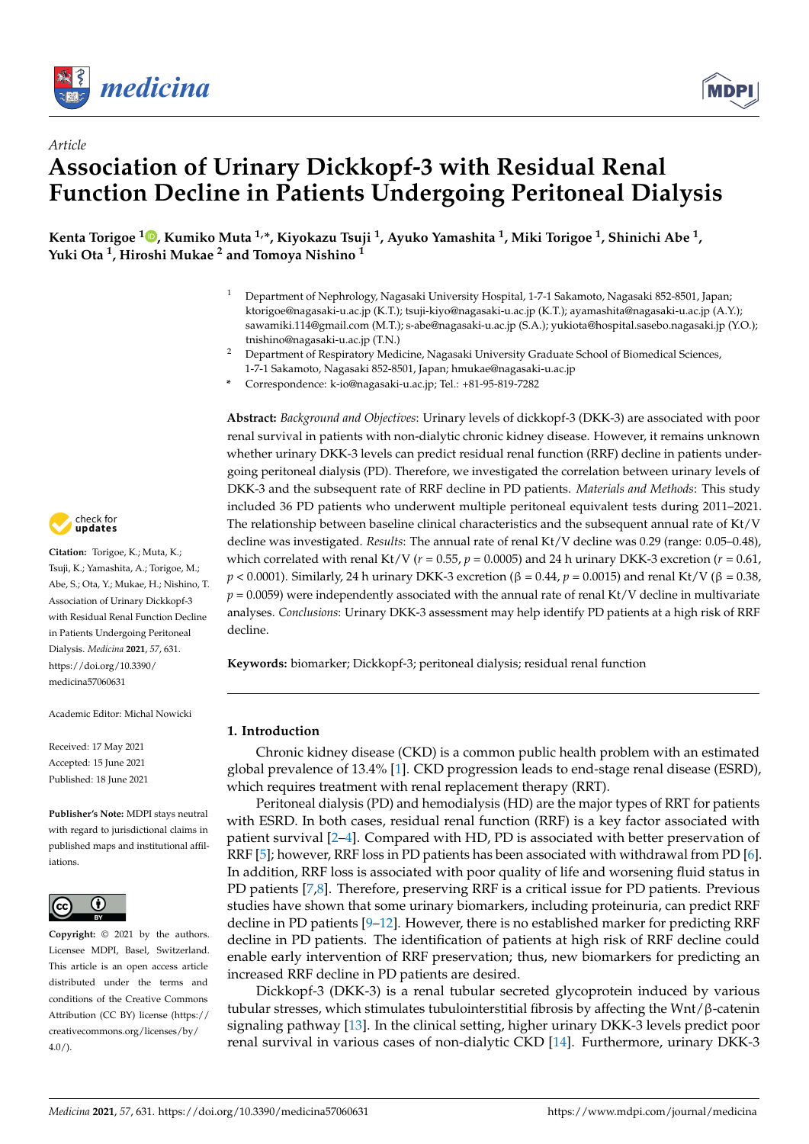

*Article*



# **Association of Urinary Dickkopf-3 with Residual Renal Function Decline in Patients Undergoing Peritoneal Dialysis**

**Kenta Torigoe <sup>1</sup> [,](https://orcid.org/0000-0003-3085-0391) Kumiko Muta 1,\*, Kiyokazu Tsuji <sup>1</sup> , Ayuko Yamashita <sup>1</sup> , Miki Torigoe <sup>1</sup> , Shinichi Abe <sup>1</sup> , Yuki Ota <sup>1</sup> , Hiroshi Mukae <sup>2</sup> and Tomoya Nishino <sup>1</sup>**

- <sup>1</sup> Department of Nephrology, Nagasaki University Hospital, 1-7-1 Sakamoto, Nagasaki 852-8501, Japan; ktorigoe@nagasaki-u.ac.jp (K.T.); tsuji-kiyo@nagasaki-u.ac.jp (K.T.); ayamashita@nagasaki-u.ac.jp (A.Y.); sawamiki.114@gmail.com (M.T.); s-abe@nagasaki-u.ac.jp (S.A.); yukiota@hospital.sasebo.nagasaki.jp (Y.O.); tnishino@nagasaki-u.ac.jp (T.N.)
- <sup>2</sup> Department of Respiratory Medicine, Nagasaki University Graduate School of Biomedical Sciences, 1-7-1 Sakamoto, Nagasaki 852-8501, Japan; hmukae@nagasaki-u.ac.jp
- **\*** Correspondence: k-io@nagasaki-u.ac.jp; Tel.: +81-95-819-7282

**Abstract:** *Background and Objectives*: Urinary levels of dickkopf-3 (DKK-3) are associated with poor renal survival in patients with non-dialytic chronic kidney disease. However, it remains unknown whether urinary DKK-3 levels can predict residual renal function (RRF) decline in patients undergoing peritoneal dialysis (PD). Therefore, we investigated the correlation between urinary levels of DKK-3 and the subsequent rate of RRF decline in PD patients. *Materials and Methods*: This study included 36 PD patients who underwent multiple peritoneal equivalent tests during 2011–2021. The relationship between baseline clinical characteristics and the subsequent annual rate of Kt/V decline was investigated. *Results*: The annual rate of renal Kt/V decline was 0.29 (range: 0.05–0.48), which correlated with renal Kt/V ( $r = 0.55$ ,  $p = 0.0005$ ) and 24 h urinary DKK-3 excretion ( $r = 0.61$ , *p* < 0.0001). Similarly, 24 h urinary DKK-3 excretion (β = 0.44, *p* = 0.0015) and renal Kt/V (β = 0.38,  $p = 0.0059$ ) were independently associated with the annual rate of renal Kt/V decline in multivariate analyses. *Conclusions*: Urinary DKK-3 assessment may help identify PD patients at a high risk of RRF decline.

**Keywords:** biomarker; Dickkopf-3; peritoneal dialysis; residual renal function

# **1. Introduction**

Chronic kidney disease (CKD) is a common public health problem with an estimated global prevalence of 13.4% [\[1\]](#page-5-0). CKD progression leads to end-stage renal disease (ESRD), which requires treatment with renal replacement therapy (RRT).

Peritoneal dialysis (PD) and hemodialysis (HD) are the major types of RRT for patients with ESRD. In both cases, residual renal function (RRF) is a key factor associated with patient survival [\[2](#page-5-1)[–4\]](#page-5-2). Compared with HD, PD is associated with better preservation of RRF [\[5\]](#page-5-3); however, RRF loss in PD patients has been associated with withdrawal from PD [\[6\]](#page-5-4). In addition, RRF loss is associated with poor quality of life and worsening fluid status in PD patients [\[7](#page-5-5)[,8\]](#page-5-6). Therefore, preserving RRF is a critical issue for PD patients. Previous studies have shown that some urinary biomarkers, including proteinuria, can predict RRF decline in PD patients  $[9-12]$  $[9-12]$ . However, there is no established marker for predicting RRF decline in PD patients. The identification of patients at high risk of RRF decline could enable early intervention of RRF preservation; thus, new biomarkers for predicting an increased RRF decline in PD patients are desired.

Dickkopf-3 (DKK-3) is a renal tubular secreted glycoprotein induced by various tubular stresses, which stimulates tubulointerstitial fibrosis by affecting the Wnt/β-catenin signaling pathway [\[13\]](#page-6-0). In the clinical setting, higher urinary DKK-3 levels predict poor renal survival in various cases of non-dialytic CKD [\[14\]](#page-6-1). Furthermore, urinary DKK-3



**Citation:** Torigoe, K.; Muta, K.; Tsuji, K.; Yamashita, A.; Torigoe, M.; Abe, S.; Ota, Y.; Mukae, H.; Nishino, T. Association of Urinary Dickkopf-3 with Residual Renal Function Decline in Patients Undergoing Peritoneal Dialysis. *Medicina* **2021**, *57*, 631. [https://doi.org/10.3390/](https://doi.org/10.3390/medicina57060631) [medicina57060631](https://doi.org/10.3390/medicina57060631)

Academic Editor: Michal Nowicki

Received: 17 May 2021 Accepted: 15 June 2021 Published: 18 June 2021

**Publisher's Note:** MDPI stays neutral with regard to jurisdictional claims in published maps and institutional affiliations.



**Copyright:** © 2021 by the authors. Licensee MDPI, Basel, Switzerland. This article is an open access article distributed under the terms and conditions of the Creative Commons Attribution (CC BY) license (https:/[/](https://creativecommons.org/licenses/by/4.0/) [creativecommons.org/licenses/by/](https://creativecommons.org/licenses/by/4.0/)  $4.0/$ ).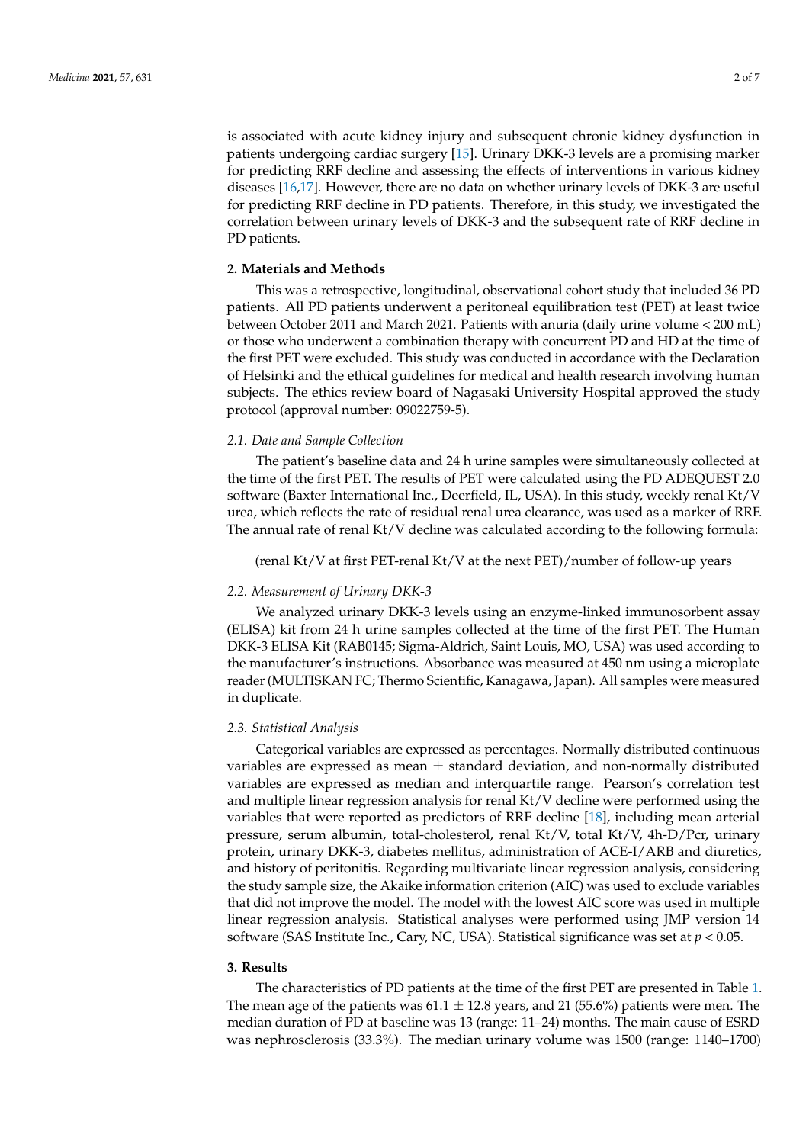is associated with acute kidney injury and subsequent chronic kidney dysfunction in patients undergoing cardiac surgery [\[15\]](#page-6-2). Urinary DKK-3 levels are a promising marker for predicting RRF decline and assessing the effects of interventions in various kidney diseases [\[16](#page-6-3)[,17\]](#page-6-4). However, there are no data on whether urinary levels of DKK-3 are useful for predicting RRF decline in PD patients. Therefore, in this study, we investigated the correlation between urinary levels of DKK-3 and the subsequent rate of RRF decline in PD patients.

## **2. Materials and Methods**

This was a retrospective, longitudinal, observational cohort study that included 36 PD patients. All PD patients underwent a peritoneal equilibration test (PET) at least twice between October 2011 and March 2021. Patients with anuria (daily urine volume < 200 mL) or those who underwent a combination therapy with concurrent PD and HD at the time of the first PET were excluded. This study was conducted in accordance with the Declaration of Helsinki and the ethical guidelines for medical and health research involving human subjects. The ethics review board of Nagasaki University Hospital approved the study protocol (approval number: 09022759-5).

# *2.1. Date and Sample Collection*

The patient's baseline data and 24 h urine samples were simultaneously collected at the time of the first PET. The results of PET were calculated using the PD ADEQUEST 2.0 software (Baxter International Inc., Deerfield, IL, USA). In this study, weekly renal Kt/V urea, which reflects the rate of residual renal urea clearance, was used as a marker of RRF. The annual rate of renal Kt/V decline was calculated according to the following formula:

(renal Kt/V at first PET-renal Kt/V at the next PET)/number of follow-up years

## *2.2. Measurement of Urinary DKK-3*

We analyzed urinary DKK-3 levels using an enzyme-linked immunosorbent assay (ELISA) kit from 24 h urine samples collected at the time of the first PET. The Human DKK-3 ELISA Kit (RAB0145; Sigma-Aldrich, Saint Louis, MO, USA) was used according to the manufacturer's instructions. Absorbance was measured at 450 nm using a microplate reader (MULTISKAN FC; Thermo Scientific, Kanagawa, Japan). All samples were measured in duplicate.

#### *2.3. Statistical Analysis*

Categorical variables are expressed as percentages. Normally distributed continuous variables are expressed as mean  $\pm$  standard deviation, and non-normally distributed variables are expressed as median and interquartile range. Pearson's correlation test and multiple linear regression analysis for renal Kt/V decline were performed using the variables that were reported as predictors of RRF decline [\[18\]](#page-6-5), including mean arterial pressure, serum albumin, total-cholesterol, renal Kt/V, total Kt/V, 4h-D/Pcr, urinary protein, urinary DKK-3, diabetes mellitus, administration of ACE-I/ARB and diuretics, and history of peritonitis. Regarding multivariate linear regression analysis, considering the study sample size, the Akaike information criterion (AIC) was used to exclude variables that did not improve the model. The model with the lowest AIC score was used in multiple linear regression analysis. Statistical analyses were performed using JMP version 14 software (SAS Institute Inc., Cary, NC, USA). Statistical significance was set at *p* < 0.05.

#### **3. Results**

The characteristics of PD patients at the time of the first PET are presented in Table [1.](#page-2-0) The mean age of the patients was  $61.1 \pm 12.8$  years, and 21 (55.6%) patients were men. The median duration of PD at baseline was 13 (range: 11–24) months. The main cause of ESRD was nephrosclerosis (33.3%). The median urinary volume was 1500 (range: 1140–1700)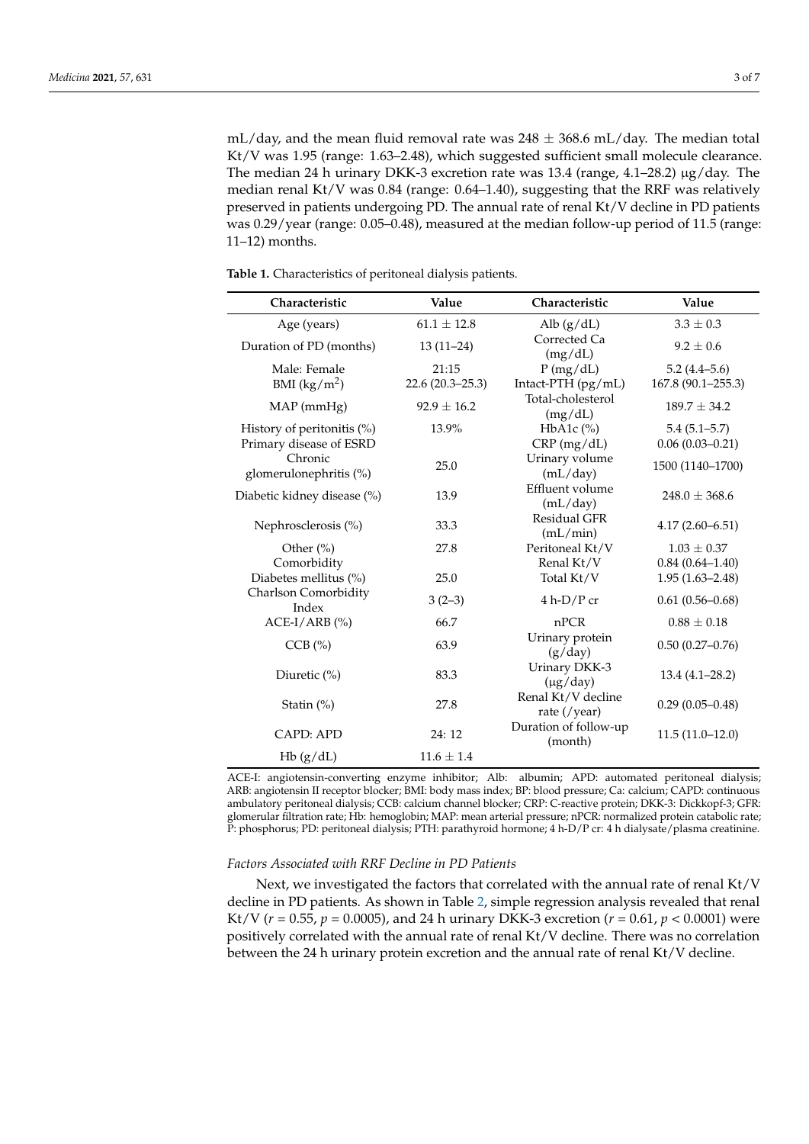mL/day, and the mean fluid removal rate was  $248 \pm 368.6$  mL/day. The median total Kt/V was 1.95 (range: 1.63–2.48), which suggested sufficient small molecule clearance. The median 24 h urinary DKK-3 excretion rate was 13.4 (range, 4.1–28.2)  $\mu$ g/day. The median renal Kt/V was 0.84 (range: 0.64–1.40), suggesting that the RRF was relatively preserved in patients undergoing PD. The annual rate of renal Kt/V decline in PD patients was 0.29/year (range: 0.05–0.48), measured at the median follow-up period of 11.5 (range: 11–12) months.

| Characteristic                    | Value               | Characteristic                     | Value               |  |
|-----------------------------------|---------------------|------------------------------------|---------------------|--|
| Age (years)                       | $61.1 \pm 12.8$     | Alb $(g/dL)$                       | $3.3 \pm 0.3$       |  |
| Duration of PD (months)           | $13(11-24)$         | Corrected Ca<br>(mg/dL)            | $9.2 \pm 0.6$       |  |
| Male: Female                      | 21:15               | P(mg/dL)                           | $5.2(4.4 - 5.6)$    |  |
| BMI $(kg/m^2)$                    | $22.6(20.3 - 25.3)$ | Intact-PTH (pg/mL)                 | 167.8 (90.1-255.3)  |  |
| $MAP$ (mm $Hg$ )                  | $92.9 \pm 16.2$     | Total-cholesterol<br>(mg/dL)       | $189.7 \pm 34.2$    |  |
| History of peritonitis (%)        | 13.9%               | $HbA1c$ (%)                        | $5.4(5.1 - 5.7)$    |  |
| Primary disease of ESRD           |                     | CRP(mg/dL)                         | $0.06(0.03 - 0.21)$ |  |
| Chronic<br>glomerulonephritis (%) | 25.0                | Urinary volume<br>(mL/day)         | 1500 (1140-1700)    |  |
| Diabetic kidney disease (%)       | 13.9                | Effluent volume<br>(mL/day)        | $248.0 \pm 368.6$   |  |
| Nephrosclerosis (%)               | 33.3                | <b>Residual GFR</b><br>(mL/min)    | $4.17(2.60 - 6.51)$ |  |
| Other $(\% )$                     | 27.8                | Peritoneal Kt/V                    | $1.03 \pm 0.37$     |  |
| Comorbidity                       |                     | Renal Kt/V                         | $0.84(0.64 - 1.40)$ |  |
| Diabetes mellitus (%)             | 25.0                | Total Kt/V                         | $1.95(1.63 - 2.48)$ |  |
| Charlson Comorbidity<br>Index     | $3(2-3)$            | $4 h-D/P$ cr                       | $0.61(0.56 - 0.68)$ |  |
| $ACE-I/ARB$ (%)                   | 66.7                | nPCR                               | $0.88 \pm 0.18$     |  |
| $CCB$ $(\% )$                     | 63.9                | Urinary protein<br>(g/day)         | $0.50(0.27-0.76)$   |  |
| Diuretic (%)                      | 83.3                | Urinary DKK-3<br>$(\mu g / day)$   | $13.4(4.1-28.2)$    |  |
| Statin $(\%)$                     | 27.8                | Renal Kt/V decline<br>rate (/year) | $0.29(0.05 - 0.48)$ |  |
| CAPD: APD                         | 24: 12              | Duration of follow-up<br>(month)   | $11.5(11.0-12.0)$   |  |
| Hb(g/dL)                          | $11.6 \pm 1.4$      |                                    |                     |  |

<span id="page-2-0"></span>**Table 1.** Characteristics of peritoneal dialysis patients.

ACE-I: angiotensin-converting enzyme inhibitor; Alb: albumin; APD: automated peritoneal dialysis; ARB: angiotensin II receptor blocker; BMI: body mass index; BP: blood pressure; Ca: calcium; CAPD: continuous ambulatory peritoneal dialysis; CCB: calcium channel blocker; CRP: C-reactive protein; DKK-3: Dickkopf-3; GFR: glomerular filtration rate; Hb: hemoglobin; MAP: mean arterial pressure; nPCR: normalized protein catabolic rate; P: phosphorus; PD: peritoneal dialysis; PTH: parathyroid hormone; 4 h-D/P cr: 4 h dialysate/plasma creatinine.

## *Factors Associated with RRF Decline in PD Patients*

Next, we investigated the factors that correlated with the annual rate of renal Kt/V decline in PD patients. As shown in Table [2,](#page-3-0) simple regression analysis revealed that renal Kt/V ( $r = 0.55$ ,  $p = 0.0005$ ), and 24 h urinary DKK-3 excretion ( $r = 0.61$ ,  $p < 0.0001$ ) were positively correlated with the annual rate of renal Kt/V decline. There was no correlation between the 24 h urinary protein excretion and the annual rate of renal Kt/V decline.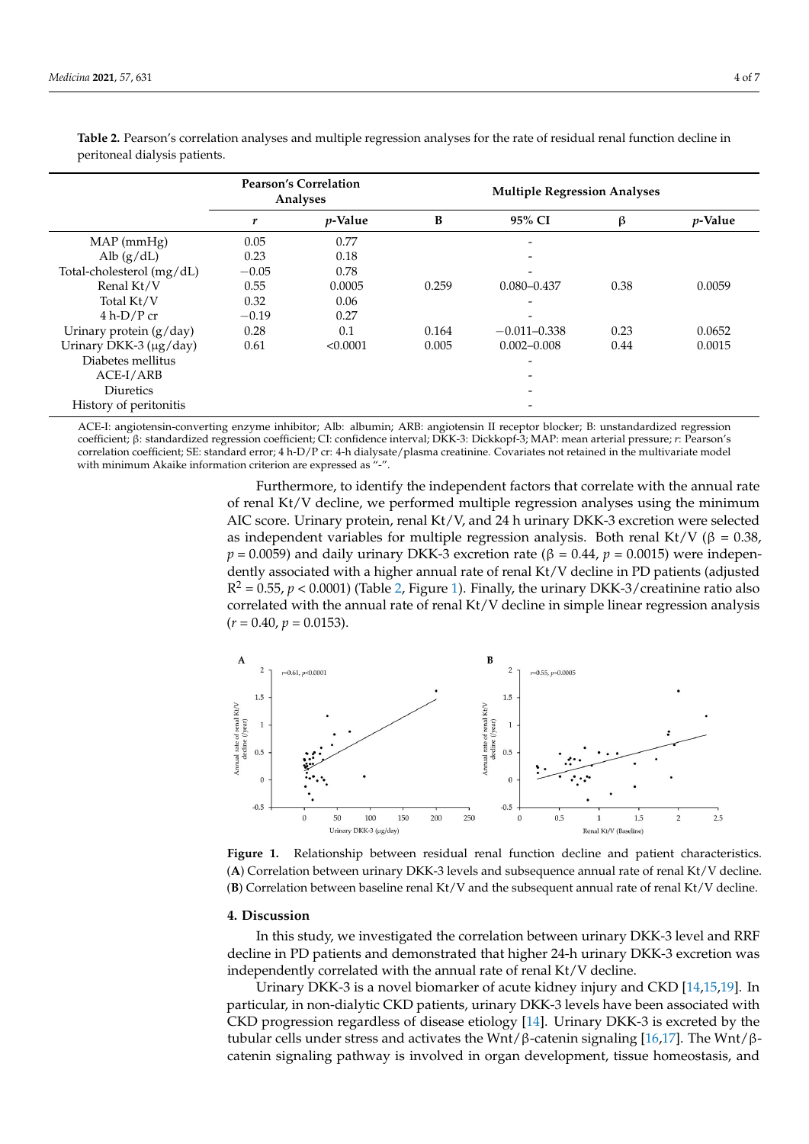|                           | <b>Pearson's Correlation</b><br>Analyses |                 | <b>Multiple Regression Analyses</b> |                  |      |         |
|---------------------------|------------------------------------------|-----------------|-------------------------------------|------------------|------|---------|
|                           | r                                        | <i>p</i> -Value | B                                   | 95% CI           | β    | p-Value |
| $MAP$ (mm $Hg$ )          | 0.05                                     | 0.77            |                                     |                  |      |         |
| Alb $(g/dL)$              | 0.23                                     | 0.18            |                                     |                  |      |         |
| Total-cholesterol (mg/dL) | $-0.05$                                  | 0.78            |                                     |                  |      |         |
| Renal Kt/V                | 0.55                                     | 0.0005          | 0.259                               | $0.080 - 0.437$  | 0.38 | 0.0059  |
| Total Kt/V                | 0.32                                     | 0.06            |                                     |                  |      |         |
| $4 h-D/P cr$              | $-0.19$                                  | 0.27            |                                     |                  |      |         |
| Urinary protein $(g/day)$ | 0.28                                     | 0.1             | 0.164                               | $-0.011 - 0.338$ | 0.23 | 0.0652  |
| Urinary DKK-3 (µg/day)    | 0.61                                     | < 0.0001        | 0.005                               | $0.002 - 0.008$  | 0.44 | 0.0015  |
| Diabetes mellitus         |                                          |                 |                                     |                  |      |         |
| ACE-I/ARB                 |                                          |                 |                                     |                  |      |         |
| Diuretics                 |                                          |                 |                                     |                  |      |         |
| History of peritonitis    |                                          |                 |                                     |                  |      |         |

<span id="page-3-0"></span>**Table 2.** Pearson's correlation analyses and multiple regression analyses for the rate of residual renal function decline in<br>naritioneal dialysis patients peritoneal dialysis patients.

ACE-I: angiotensin-converting enzyme inhibitor; Alb: albumin; ARB: angiotensin II receptor blocker; B: unstandardized regression coefficient; β: standardized regression coefficient; CI: confidence interval; DKK-3: Dickkopf-3; MAP: mean arterial pressure; r: Pearson's correlation coefficient; SE: standard error; 4 h-D/P cr: 4-h dialysate/plasma creatinine. Covariates not retained in the multivariate model with minimum Akaike information criterion are expressed as "-".

> Furthermore, to identify the independent factors that correlate with the annual rate Furthermore, to identify the independent factors that correlate with the annual rate of renal Kt/V decline, we performed multiple regression analyses using the minimum AIC score. Urinary protein, renal Kt/V, and 24 h urinary DKK-3 excretion were selected as independent variables for multiple regression analysis. Both renal Kt/V (β = 0.38,  $p = 0.0059$ ) and daily urinary DKK-3 excretion rate (β = 0.44,  $p = 0.0015$ ) were independently associated with a higher annual rate of renal Kt/V decline in PD patients (adjusted  $R^2 = 0.55$ ,  $p < 0.0001$ ) (Table 2, Figure 1). Fin[al](#page-3-0)ly, the [uri](#page-3-1)nary DKK-3/creatinine ratio also correlated with the annual rate of renal Kt/V decline in simple linear regression analysis  $(r = 0.40, p = 0.0153).$

<span id="page-3-1"></span>

**Figure 1.** Relationship between residual renal function decline and patient characteristics. (A) Correlation between urinary DKK-3 levels and subsequence annual rate of renal Kt/V decline. **(B)** Correlation between baseline renal Kt/V and the subsequent annual rate of renal Kt/V decline.

# **4. Discussion**

In this study, we investigated the correlation between urinary DKK-3 level and RRF decline in PD patients and demonstrated that higher 24-h urinary DKK-3 excretion was independently correlated with the annual rate of renal Kt/V decline.

Urinary DKK-3 is a novel biomarker of acute kidney injury and CKD [\[14](#page-6-1)[,15](#page-6-2)[,19\]](#page-6-6). In particular, in non-dialytic CKD patients, urinary DKK-3 levels have been associated with CKD progression regardless of disease etiology [\[14\]](#page-6-1). Urinary DKK-3 is excreted by the tubular cells under stress and activates the Wnt/β-catenin signaling [\[16](#page-6-3)[,17\]](#page-6-4). The Wnt/βcatenin signaling pathway is involved in organ development, tissue homeostasis, and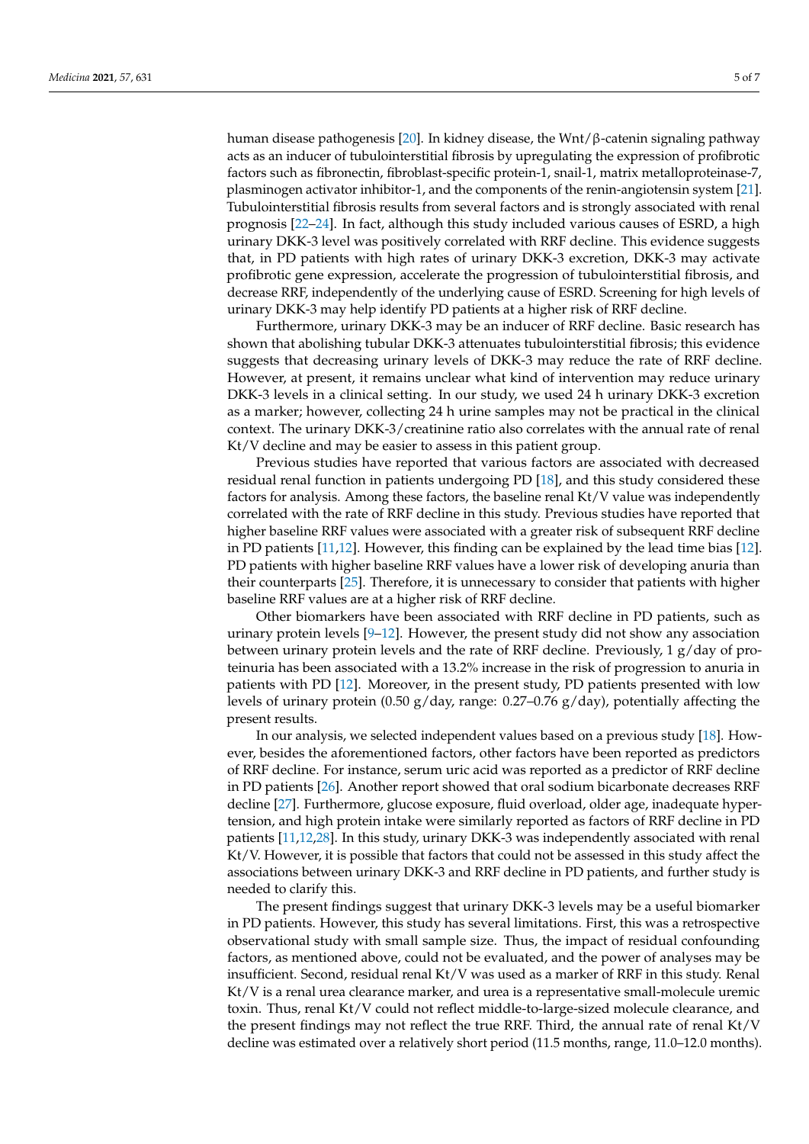human disease pathogenesis [\[20\]](#page-6-7). In kidney disease, the Wnt/β-catenin signaling pathway acts as an inducer of tubulointerstitial fibrosis by upregulating the expression of profibrotic factors such as fibronectin, fibroblast-specific protein-1, snail-1, matrix metalloproteinase-7, plasminogen activator inhibitor-1, and the components of the renin-angiotensin system [\[21\]](#page-6-8). Tubulointerstitial fibrosis results from several factors and is strongly associated with renal prognosis [\[22](#page-6-9)[–24\]](#page-6-10). In fact, although this study included various causes of ESRD, a high urinary DKK-3 level was positively correlated with RRF decline. This evidence suggests that, in PD patients with high rates of urinary DKK-3 excretion, DKK-3 may activate profibrotic gene expression, accelerate the progression of tubulointerstitial fibrosis, and decrease RRF, independently of the underlying cause of ESRD. Screening for high levels of urinary DKK-3 may help identify PD patients at a higher risk of RRF decline.

Furthermore, urinary DKK-3 may be an inducer of RRF decline. Basic research has shown that abolishing tubular DKK-3 attenuates tubulointerstitial fibrosis; this evidence suggests that decreasing urinary levels of DKK-3 may reduce the rate of RRF decline. However, at present, it remains unclear what kind of intervention may reduce urinary DKK-3 levels in a clinical setting. In our study, we used 24 h urinary DKK-3 excretion as a marker; however, collecting 24 h urine samples may not be practical in the clinical context. The urinary DKK-3/creatinine ratio also correlates with the annual rate of renal Kt/V decline and may be easier to assess in this patient group.

Previous studies have reported that various factors are associated with decreased residual renal function in patients undergoing PD [\[18\]](#page-6-5), and this study considered these factors for analysis. Among these factors, the baseline renal Kt/V value was independently correlated with the rate of RRF decline in this study. Previous studies have reported that higher baseline RRF values were associated with a greater risk of subsequent RRF decline in PD patients [\[11](#page-5-9)[,12\]](#page-5-8). However, this finding can be explained by the lead time bias [\[12\]](#page-5-8). PD patients with higher baseline RRF values have a lower risk of developing anuria than their counterparts [\[25\]](#page-6-11). Therefore, it is unnecessary to consider that patients with higher baseline RRF values are at a higher risk of RRF decline.

Other biomarkers have been associated with RRF decline in PD patients, such as urinary protein levels  $[9-12]$  $[9-12]$ . However, the present study did not show any association between urinary protein levels and the rate of RRF decline. Previously, 1 g/day of proteinuria has been associated with a 13.2% increase in the risk of progression to anuria in patients with PD [\[12\]](#page-5-8). Moreover, in the present study, PD patients presented with low levels of urinary protein (0.50 g/day, range: 0.27–0.76 g/day), potentially affecting the present results.

In our analysis, we selected independent values based on a previous study [\[18\]](#page-6-5). However, besides the aforementioned factors, other factors have been reported as predictors of RRF decline. For instance, serum uric acid was reported as a predictor of RRF decline in PD patients [\[26\]](#page-6-12). Another report showed that oral sodium bicarbonate decreases RRF decline [\[27\]](#page-6-13). Furthermore, glucose exposure, fluid overload, older age, inadequate hypertension, and high protein intake were similarly reported as factors of RRF decline in PD patients [\[11](#page-5-9)[,12](#page-5-8)[,28\]](#page-6-14). In this study, urinary DKK-3 was independently associated with renal Kt/V. However, it is possible that factors that could not be assessed in this study affect the associations between urinary DKK-3 and RRF decline in PD patients, and further study is needed to clarify this.

The present findings suggest that urinary DKK-3 levels may be a useful biomarker in PD patients. However, this study has several limitations. First, this was a retrospective observational study with small sample size. Thus, the impact of residual confounding factors, as mentioned above, could not be evaluated, and the power of analyses may be insufficient. Second, residual renal Kt/V was used as a marker of RRF in this study. Renal Kt/V is a renal urea clearance marker, and urea is a representative small-molecule uremic toxin. Thus, renal Kt/V could not reflect middle-to-large-sized molecule clearance, and the present findings may not reflect the true RRF. Third, the annual rate of renal Kt/V decline was estimated over a relatively short period (11.5 months, range, 11.0–12.0 months).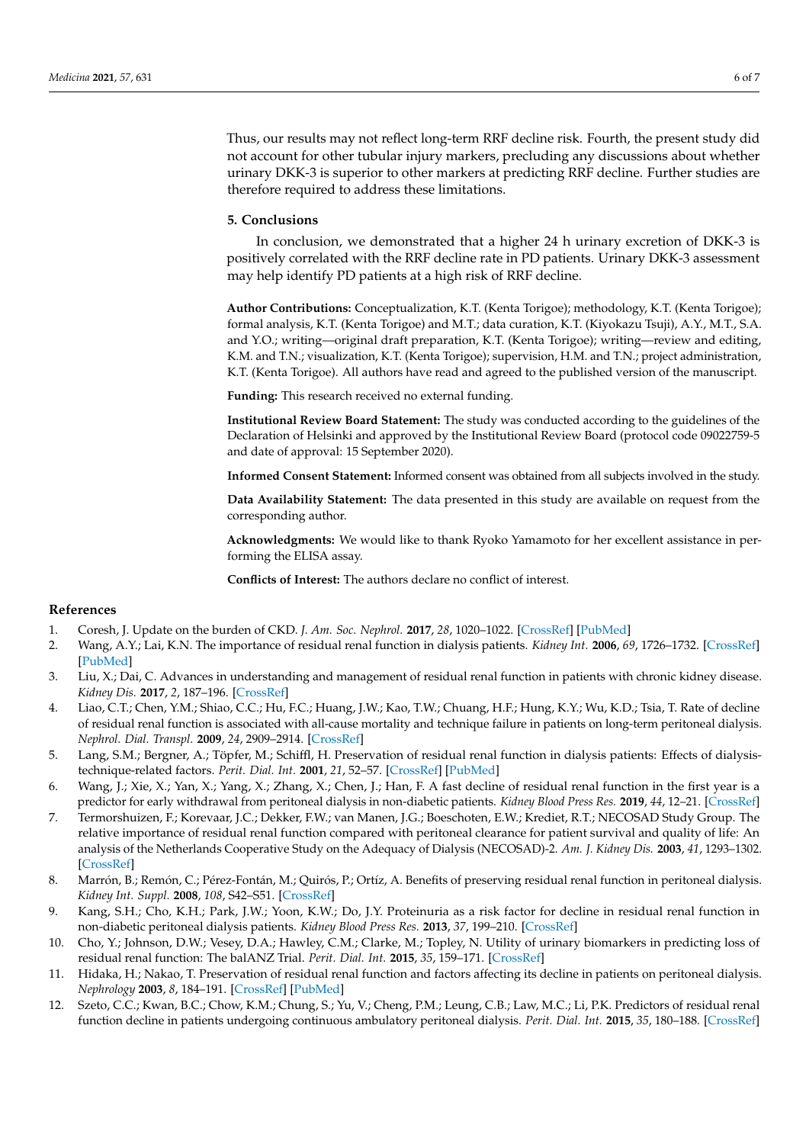Thus, our results may not reflect long-term RRF decline risk. Fourth, the present study did not account for other tubular injury markers, precluding any discussions about whether urinary DKK-3 is superior to other markers at predicting RRF decline. Further studies are therefore required to address these limitations.

## **5. Conclusions**

In conclusion, we demonstrated that a higher 24 h urinary excretion of DKK-3 is positively correlated with the RRF decline rate in PD patients. Urinary DKK-3 assessment may help identify PD patients at a high risk of RRF decline.

**Author Contributions:** Conceptualization, K.T. (Kenta Torigoe); methodology, K.T. (Kenta Torigoe); formal analysis, K.T. (Kenta Torigoe) and M.T.; data curation, K.T. (Kiyokazu Tsuji), A.Y., M.T., S.A. and Y.O.; writing—original draft preparation, K.T. (Kenta Torigoe); writing—review and editing, K.M. and T.N.; visualization, K.T. (Kenta Torigoe); supervision, H.M. and T.N.; project administration, K.T. (Kenta Torigoe). All authors have read and agreed to the published version of the manuscript.

**Funding:** This research received no external funding.

**Institutional Review Board Statement:** The study was conducted according to the guidelines of the Declaration of Helsinki and approved by the Institutional Review Board (protocol code 09022759-5 and date of approval: 15 September 2020).

**Informed Consent Statement:** Informed consent was obtained from all subjects involved in the study.

**Data Availability Statement:** The data presented in this study are available on request from the corresponding author.

**Acknowledgments:** We would like to thank Ryoko Yamamoto for her excellent assistance in performing the ELISA assay.

**Conflicts of Interest:** The authors declare no conflict of interest.

### **References**

- <span id="page-5-0"></span>1. Coresh, J. Update on the burden of CKD. *J. Am. Soc. Nephrol.* **2017**, *28*, 1020–1022. [\[CrossRef\]](http://doi.org/10.1681/ASN.2016121374) [\[PubMed\]](http://www.ncbi.nlm.nih.gov/pubmed/28302756)
- <span id="page-5-1"></span>2. Wang, A.Y.; Lai, K.N. The importance of residual renal function in dialysis patients. *Kidney Int.* **2006**, *69*, 1726–1732. [\[CrossRef\]](http://doi.org/10.1038/sj.ki.5000382) [\[PubMed\]](http://www.ncbi.nlm.nih.gov/pubmed/16612329)
- 3. Liu, X.; Dai, C. Advances in understanding and management of residual renal function in patients with chronic kidney disease. *Kidney Dis.* **2017**, *2*, 187–196. [\[CrossRef\]](http://doi.org/10.1159/000449029)
- <span id="page-5-2"></span>4. Liao, C.T.; Chen, Y.M.; Shiao, C.C.; Hu, F.C.; Huang, J.W.; Kao, T.W.; Chuang, H.F.; Hung, K.Y.; Wu, K.D.; Tsia, T. Rate of decline of residual renal function is associated with all-cause mortality and technique failure in patients on long-term peritoneal dialysis. *Nephrol. Dial. Transpl.* **2009**, *24*, 2909–2914. [\[CrossRef\]](http://doi.org/10.1093/ndt/gfp056)
- <span id="page-5-3"></span>5. Lang, S.M.; Bergner, A.; Töpfer, M.; Schiffl, H. Preservation of residual renal function in dialysis patients: Effects of dialysistechnique-related factors. *Perit. Dial. Int.* **2001**, *21*, 52–57. [\[CrossRef\]](http://doi.org/10.1177/089686080102100108) [\[PubMed\]](http://www.ncbi.nlm.nih.gov/pubmed/11280496)
- <span id="page-5-4"></span>6. Wang, J.; Xie, X.; Yan, X.; Yang, X.; Zhang, X.; Chen, J.; Han, F. A fast decline of residual renal function in the first year is a predictor for early withdrawal from peritoneal dialysis in non-diabetic patients. *Kidney Blood Press Res.* **2019**, *44*, 12–21. [\[CrossRef\]](http://doi.org/10.1159/000497807)
- <span id="page-5-5"></span>7. Termorshuizen, F.; Korevaar, J.C.; Dekker, F.W.; van Manen, J.G.; Boeschoten, E.W.; Krediet, R.T.; NECOSAD Study Group. The relative importance of residual renal function compared with peritoneal clearance for patient survival and quality of life: An analysis of the Netherlands Cooperative Study on the Adequacy of Dialysis (NECOSAD)-2. *Am. J. Kidney Dis.* **2003**, *41*, 1293–1302. [\[CrossRef\]](http://doi.org/10.1016/S0272-6386(03)00362-7)
- <span id="page-5-6"></span>8. Marrón, B.; Remón, C.; Pérez-Fontán, M.; Quirós, P.; Ortíz, A. Benefits of preserving residual renal function in peritoneal dialysis. *Kidney Int. Suppl.* **2008**, *108*, S42–S51. [\[CrossRef\]](http://doi.org/10.1038/sj.ki.5002600)
- <span id="page-5-7"></span>9. Kang, S.H.; Cho, K.H.; Park, J.W.; Yoon, K.W.; Do, J.Y. Proteinuria as a risk factor for decline in residual renal function in non-diabetic peritoneal dialysis patients. *Kidney Blood Press Res.* **2013**, *37*, 199–210. [\[CrossRef\]](http://doi.org/10.1159/000350145)
- 10. Cho, Y.; Johnson, D.W.; Vesey, D.A.; Hawley, C.M.; Clarke, M.; Topley, N. Utility of urinary biomarkers in predicting loss of residual renal function: The balANZ Trial. *Perit. Dial. Int.* **2015**, *35*, 159–171. [\[CrossRef\]](http://doi.org/10.3747/pdi.2013.00170)
- <span id="page-5-9"></span>11. Hidaka, H.; Nakao, T. Preservation of residual renal function and factors affecting its decline in patients on peritoneal dialysis. *Nephrology* **2003**, *8*, 184–191. [\[CrossRef\]](http://doi.org/10.1046/j.1440-1797.2003.00156.x) [\[PubMed\]](http://www.ncbi.nlm.nih.gov/pubmed/15012719)
- <span id="page-5-8"></span>12. Szeto, C.C.; Kwan, B.C.; Chow, K.M.; Chung, S.; Yu, V.; Cheng, P.M.; Leung, C.B.; Law, M.C.; Li, P.K. Predictors of residual renal function decline in patients undergoing continuous ambulatory peritoneal dialysis. *Perit. Dial. Int.* **2015**, *35*, 180–188. [\[CrossRef\]](http://doi.org/10.3747/pdi.2013.00075)